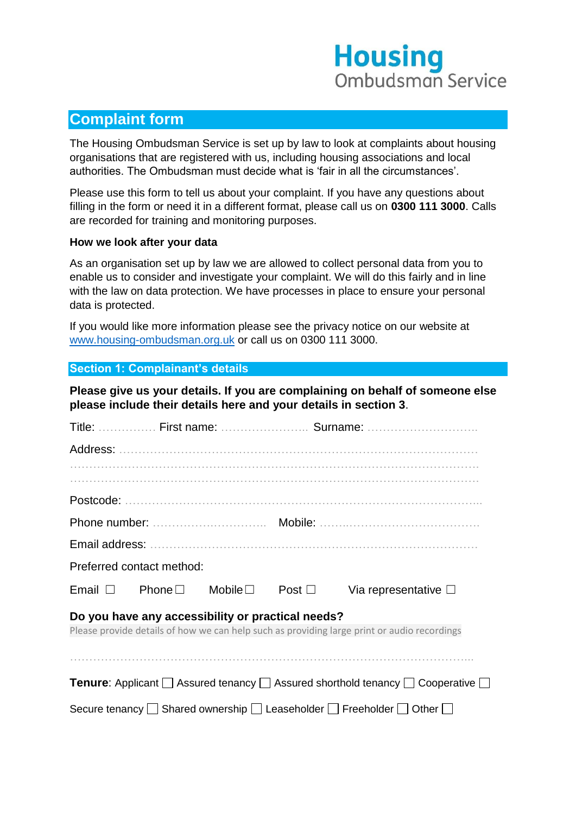# **Housing Ombudsman Service**

## **Complaint form**

The Housing Ombudsman Service is set up by law to look at complaints about housing organisations that are registered with us, including housing associations and local authorities. The Ombudsman must decide what is 'fair in all the circumstances'.

Please use this form to tell us about your complaint. If you have any questions about filling in the form or need it in a different format, please call us on **0300 111 3000**. Calls are recorded for training and monitoring purposes.

#### **How we look after your data**

As an organisation set up by law we are allowed to collect personal data from you to enable us to consider and investigate your complaint. We will do this fairly and in line with the law on data protection. We have processes in place to ensure your personal data is protected.

If you would like more information please see the privacy notice on our website at [www.housing-ombudsman.org.uk](http://www.housing-ombudsman.org.uk/) or call us on 0300 111 3000.

#### **Section 1: Complainant's details**

**Please give us your details. If you are complaining on behalf of someone else please include their details here and your details in section 3**.

|                                                                                                                                                  |                           |               |                | Title:  First name:  Surname: |  |  |  |  |
|--------------------------------------------------------------------------------------------------------------------------------------------------|---------------------------|---------------|----------------|-------------------------------|--|--|--|--|
|                                                                                                                                                  |                           |               |                |                               |  |  |  |  |
|                                                                                                                                                  |                           |               |                |                               |  |  |  |  |
|                                                                                                                                                  |                           |               |                |                               |  |  |  |  |
|                                                                                                                                                  |                           |               |                |                               |  |  |  |  |
|                                                                                                                                                  |                           |               |                |                               |  |  |  |  |
|                                                                                                                                                  |                           |               |                |                               |  |  |  |  |
|                                                                                                                                                  | Preferred contact method: |               |                |                               |  |  |  |  |
| Email $\Box$                                                                                                                                     | Phone $\square$           | Mobile $\Box$ | Post $\square$ | Via representative $\square$  |  |  |  |  |
| Do you have any accessibility or practical needs?<br>Please provide details of how we can help such as providing large print or audio recordings |                           |               |                |                               |  |  |  |  |
|                                                                                                                                                  |                           |               |                |                               |  |  |  |  |
|                                                                                                                                                  |                           |               |                |                               |  |  |  |  |
| <b>Tenure:</b> Applicant $\Box$ Assured tenancy $\Box$ Assured shorthold tenancy $\Box$ Cooperative $\Box$                                       |                           |               |                |                               |  |  |  |  |
| Secure tenancy $\Box$ Shared ownership $\Box$ Leaseholder $\Box$ Freeholder $\Box$ Other $\Box$                                                  |                           |               |                |                               |  |  |  |  |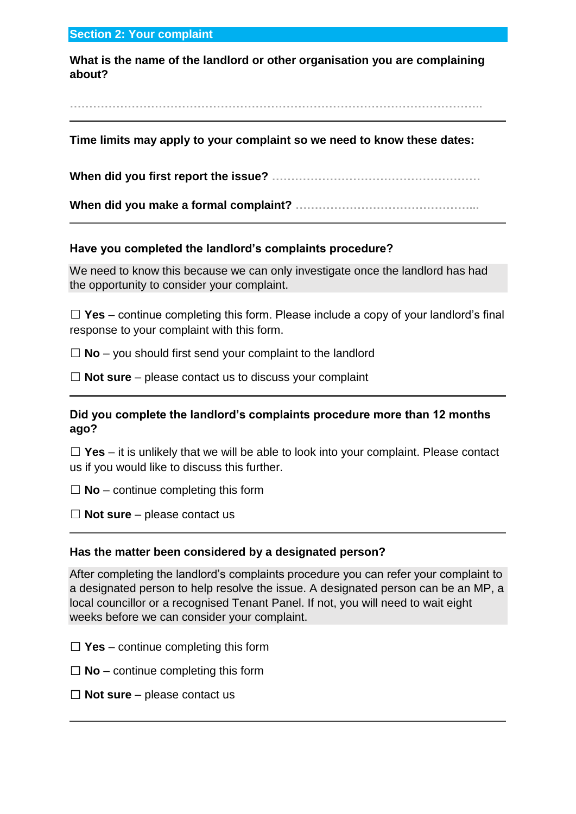#### **Section 2: Your complaint**

**What is the name of the landlord or other organisation you are complaining about?**

**……………………………………………………………………………………………..**

#### **Time limits may apply to your complaint so we need to know these dates:**

**When did you first report the issue? ………………………………………………**

**When did you make a formal complaint? ………………………………………...**

#### **Have you completed the landlord's complaints procedure?**

We need to know this because we can only investigate once the landlord has had the opportunity to consider your complaint.

☐ **Yes** – continue completing this form. Please include a copy of your landlord's final response to your complaint with this form.

☐ **No** – you should first send your complaint to the landlord

☐ **Not sure** – please contact us to discuss your complaint

#### **Did you complete the landlord's complaints procedure more than 12 months ago?**

☐ **Yes** – it is unlikely that we will be able to look into your complaint. Please contact us if you would like to discuss this further.

 $\Box$  **No** – continue completing this form

☐ **Not sure** – please contact us

#### **Has the matter been considered by a designated person?**

After completing the landlord's complaints procedure you can refer your complaint to a designated person to help resolve the issue. A designated person can be an MP, a local councillor or a recognised Tenant Panel. If not, you will need to wait eight weeks before we can consider your complaint.

- $\Box$  **Yes** continue completing this form
- ☐ **No** continue completing this form
- ☐ **Not sure** please contact us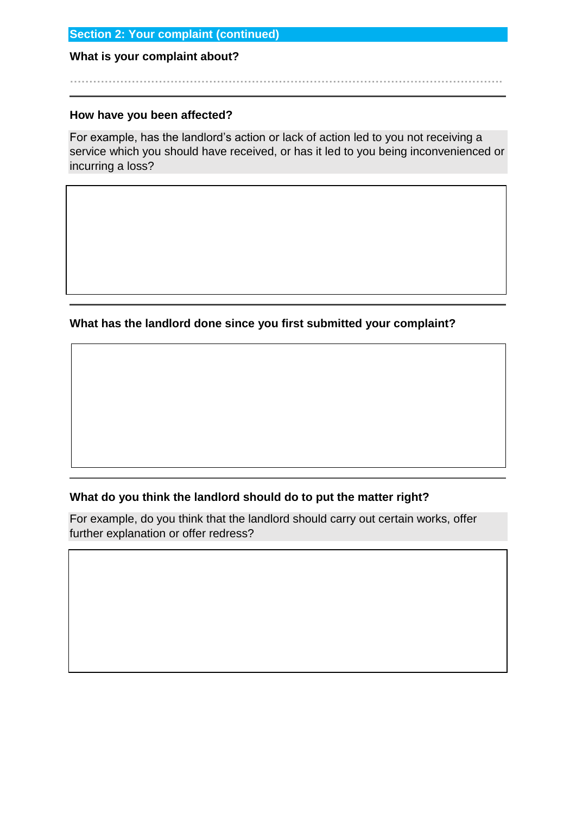#### **Section 2: Your complaint (continued)**

#### **What is your complaint about?**

#### **How have you been affected?**

For example, has the landlord's action or lack of action led to you not receiving a service which you should have received, or has it led to you being inconvenienced or incurring a loss?

**………………………………………………………………………………………………….**

**What has the landlord done since you first submitted your complaint?**

#### **What do you think the landlord should do to put the matter right?**

For example, do you think that the landlord should carry out certain works, offer further explanation or offer redress?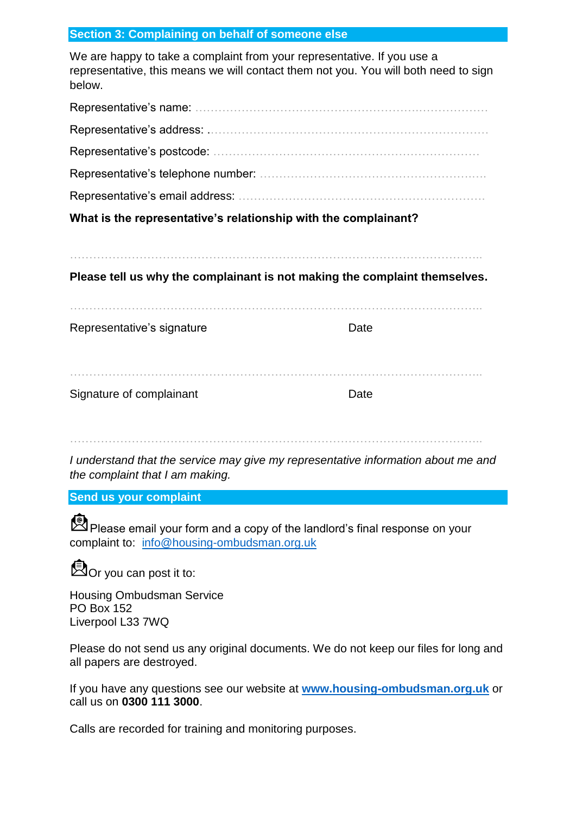#### **Section 3: Complaining on behalf of someone else**

We are happy to take a complaint from your representative. If you use a representative, this means we will contact them not you. You will both need to sign below.

| What is the representative's relationship with the complainant? |  |  |  |  |  |
|-----------------------------------------------------------------|--|--|--|--|--|
|                                                                 |  |  |  |  |  |
|                                                                 |  |  |  |  |  |
|                                                                 |  |  |  |  |  |
|                                                                 |  |  |  |  |  |
|                                                                 |  |  |  |  |  |

……………………………………………………………………………………………..

**Please tell us why the complainant is not making the complaint themselves.**

Representative's signature department of the Date

| Signature of complainant |  |
|--------------------------|--|

……………………………………………………………………………………………..

*I understand that the service may give my representative information about me and the complaint that I am making.*

#### **Send us your complaint**

Please email your form and a copy of the landlord's final response on your complaint to: [info@housing-ombudsman.org.uk](mailto:info@housing-ombudsman.org.uk)

**Dor you can post it to:** 

Housing Ombudsman Service PO Box 152 Liverpool L33 7WQ

Please do not send us any original documents. We do not keep our files for long and all papers are destroyed.

If you have any questions see our website at **[www.housing-ombudsman.org.uk](http://www.housing-ombudsman.org.uk/)** or call us on **0300 111 3000**.

Calls are recorded for training and monitoring purposes.